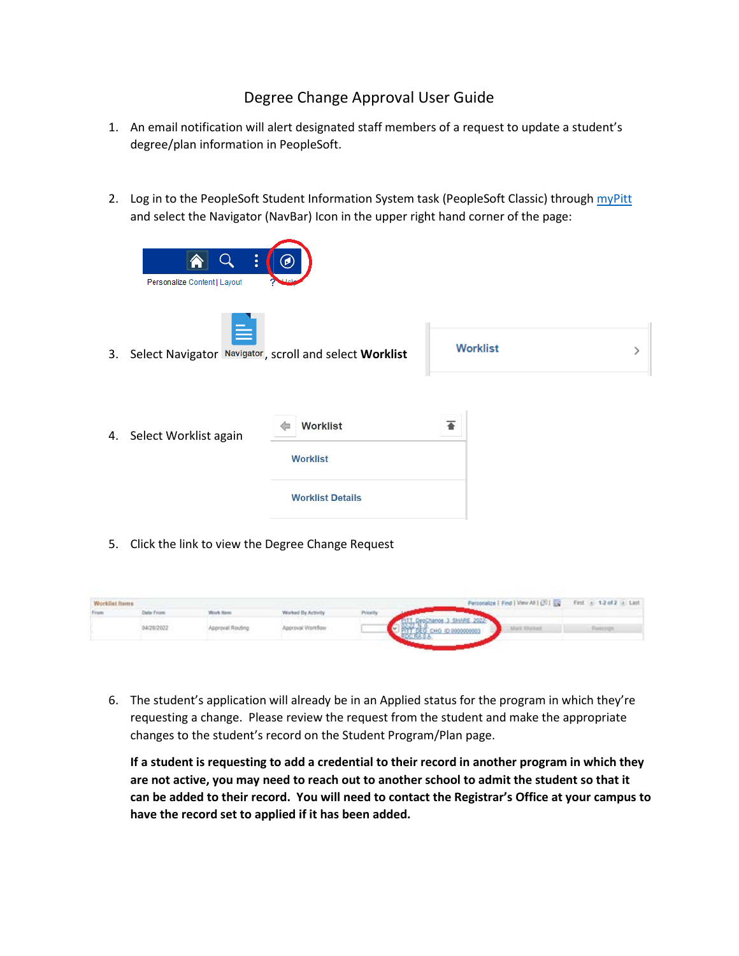## Degree Change Approval User Guide

- 1. An email notification will alert designated staff members of a request to update a student's degree/plan information in PeopleSoft.
- 2. Log in to the PeopleSoft Student Information System task (PeopleSoft Classic) throug[h myPitt](https://my.pitt.edu/) and select the Navigator (NavBar) Icon in the upper right hand corner of the page:





3. Select Navigator Navigator, scroll and select Worklist



| 4. | Select Worklist again | <b>Worklist</b><br>⇐    |  |
|----|-----------------------|-------------------------|--|
|    |                       | <b>Worklist</b>         |  |
|    |                       | <b>Worklist Details</b> |  |

5. Click the link to view the Degree Change Request

| Worklist Items |                   |                                                            |                                        |          |                     | Personalize   Find   View All   [3] | First (a) 1-2 of 2 (a) Last |
|----------------|-------------------|------------------------------------------------------------|----------------------------------------|----------|---------------------|-------------------------------------|-----------------------------|
|                | <b>Jahn Firmm</b> | <b>Work Items</b>                                          | Worked By Activity                     | Priority |                     |                                     |                             |
|                | 4/28/2022         | Approval Routing<br>and a series of the state of the state | Approval Workflow<br>단체 아버지 전화 아버지 않아. |          | hanos 3 SHARE 2022- | <b>Luk Womed</b>                    |                             |

6. The student's application will already be in an Applied status for the program in which they're requesting a change. Please review the request from the student and make the appropriate changes to the student's record on the Student Program/Plan page.

**If a student is requesting to add a credential to their record in another program in which they are not active, you may need to reach out to another school to admit the student so that it can be added to their record. You will need to contact the Registrar's Office at your campus to have the record set to applied if it has been added.**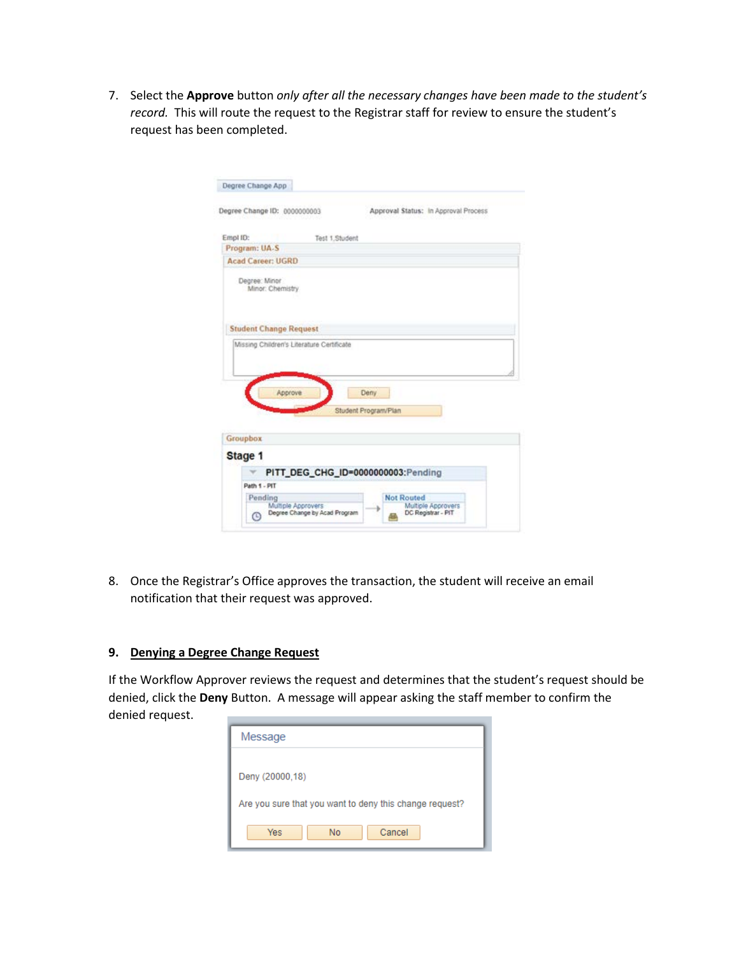7. Select the **Approve** button *only after all the necessary changes have been made to the student's record.* This will route the request to the Registrar staff for review to ensure the student's request has been completed.

|          | Degree Change App                 |                                           |                                         |  |
|----------|-----------------------------------|-------------------------------------------|-----------------------------------------|--|
|          | Degree Change ID: 0000000003      |                                           | Approval Status: In Approval Process    |  |
| Empl ID: |                                   | Test 1. Student                           |                                         |  |
|          | Program: UA-S                     |                                           |                                         |  |
|          | <b>Acad Career: UGRD</b>          |                                           |                                         |  |
|          | Degree: Minor<br>Minor: Chemistry |                                           |                                         |  |
|          |                                   |                                           |                                         |  |
|          | <b>Student Change Request</b>     |                                           |                                         |  |
|          |                                   | Missing Children's Literature Certificate |                                         |  |
| Groupbox | Approve                           |                                           | Deny<br>Student Program/Plan            |  |
|          |                                   |                                           |                                         |  |
| Stage 1  |                                   |                                           |                                         |  |
|          |                                   |                                           | PITT_DEG_CHG_ID=0000000003:Pending      |  |
|          | Path 1 - PIT                      |                                           |                                         |  |
|          | Pending<br>Multiple Approvers     |                                           | <b>Not Routed</b><br>Multiple Approvers |  |

8. Once the Registrar's Office approves the transaction, the student will receive an email notification that their request was approved.

## **9. Denying a Degree Change Request**

If the Workflow Approver reviews the request and determines that the student's request should be denied, click the **Deny** Button. A message will appear asking the staff member to confirm the denied request.

| Message                                                 |
|---------------------------------------------------------|
|                                                         |
| Deny (20000.18)                                         |
| Are you sure that you want to deny this change request? |
| Cancel<br><b>No</b><br>Yes                              |